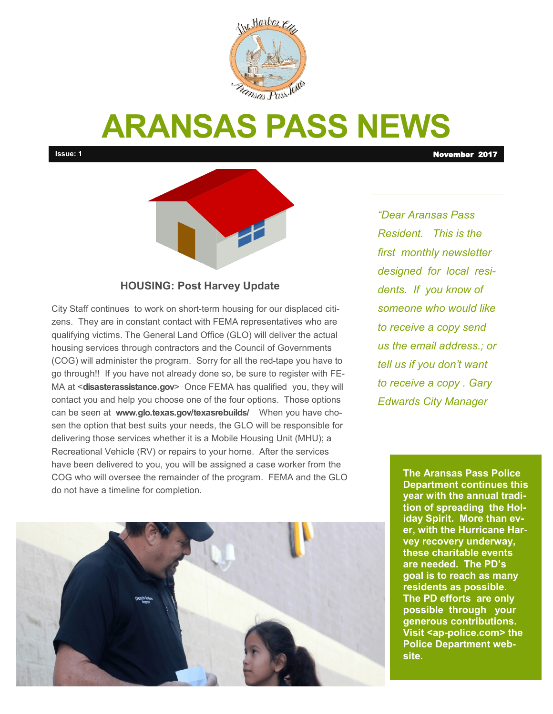

# **ARANSAS PASS NEWS**

**Issue: 1** November 2017



#### **HOUSING: Post Harvey Update**

City Staff continues to work on short-term housing for our displaced citizens. They are in constant contact with FEMA representatives who are qualifying victims. The General Land Office (GLO) will deliver the actual housing services through contractors and the Council of Governments (COG) will administer the program. Sorry for all the red-tape you have to go through!! If you have not already done so, be sure to register with FE-MA at <**disasterassistance.gov**> Once FEMA has qualified you, they will contact you and help you choose one of the four options. Those options can be seen at **www.glo.texas.gov/texasrebuilds/** When you have chosen the option that best suits your needs, the GLO will be responsible for delivering those services whether it is a Mobile Housing Unit (MHU); a Recreational Vehicle (RV) or repairs to your home. After the services have been delivered to you, you will be assigned a case worker from the COG who will oversee the remainder of the program. FEMA and the GLO do not have a timeline for completion.

**Photo Caption Caption Caption Caption Caption Caption Caption Caption Caption Caption Caption** 

*"Dear Aransas Pass Resident. This is the first monthly newsletter designed for local residents. If you know of someone who would like to receive a copy send us the email address.; or tell us if you don't want to receive a copy . Gary Edwards City Manager*

> **The Aransas Pass Police Department continues this year with the annual tradition of spreading the Holiday Spirit. More than ever, with the Hurricane Harvey recovery underway, these charitable events are needed. The PD's goal is to reach as many residents as possible. The PD efforts are only possible through your generous contributions. Visit <ap-police.com> the Police Department web-**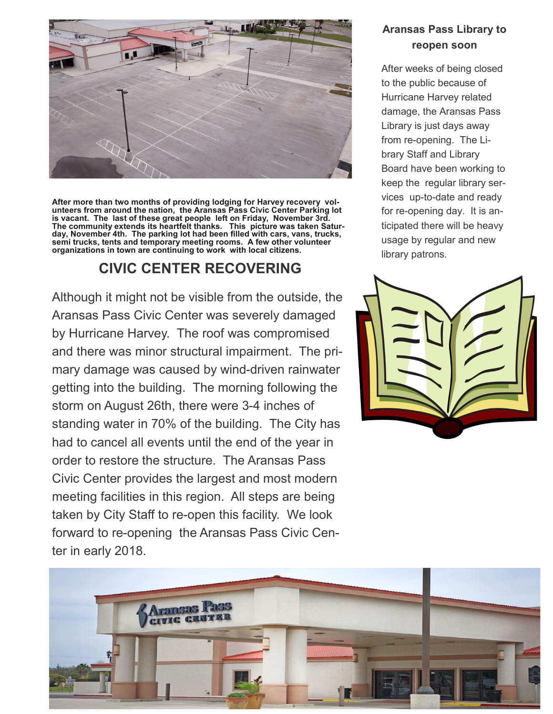

**After more than two months of providing lodging for Harvey recovery volunteers from around the nation, the Aransas Pass Civic Center Parking lot is vacant. The last of these great people left on Friday, November 3rd. The community extends its heartfelt thanks. This picture was taken Saturday, November 4th. The parking lot had been filled with cars, vans, trucks, semi trucks, tents and temporary meeting rooms. A few other volunteer organizations in town are continuing to work with local citizens.** 

### **CIVIC CENTER RECOVERING**

Although it might not be visible from the outside, the Aransas Pass Civic Center was severely damaged by Hurricane Harvey. The roof was compromised and there was minor structural impairment. The primary damage was caused by wind-driven rainwater getting into the building. The morning following the storm on August 26th, there were 3-4 inches of standing water in 70% of the building. The City has had to cancel all events until the end of the year in order to restore the structure. The Aransas Pass Civic Center provides the largest and most modern meeting facilities in this region. All steps are being taken by City Staff to re-open this facility. We look forward to re-opening the Aransas Pass Civic Center in early 2018.

#### **Aransas Pass Library to reopen soon**

After weeks of being closed to the public because of Hurricane Harvey related damage, the Aransas Pass Library is just days away from re-opening. The Library Staff and Library Board have been working to keep the regular library services up-to-date and ready for re-opening day. It is anticipated there will be heavy usage by regular and new library patrons.



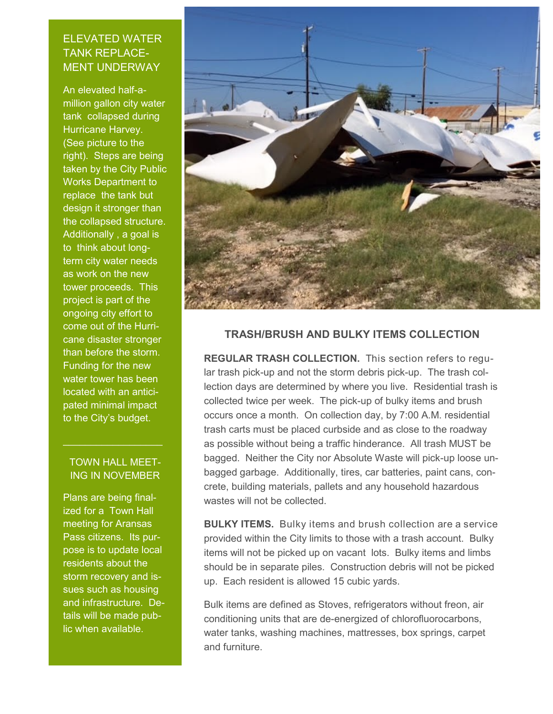#### ELEVATED WATER TANK REPLACE-MENT UNDERWAY

An elevated half-amillion gallon city water tank collapsed during Hurricane Harvey. (See picture to the right). Steps are being taken by the City Public Works Department to replace the tank but design it stronger than the collapsed structure. Additionally , a goal is to think about longterm city water needs as work on the new tower proceeds. This project is part of the ongoing city effort to come out of the Hurricane disaster stronger than before the storm. Funding for the new water tower has been located with an anticipated minimal impact to the City's budget.

#### TOWN HALL MEET-ING IN NOVEMBER

 $\mathcal{L}_\text{max}$  , where  $\mathcal{L}_\text{max}$  , we have the set of  $\mathcal{L}_\text{max}$ 

Plans are being finalized for a Town Hall meeting for Aransas Pass citizens. Its purpose is to update local residents about the storm recovery and issues such as housing and infrastructure. Details will be made public when available.



#### **TRASH/BRUSH AND BULKY ITEMS COLLECTION**

**REGULAR TRASH COLLECTION.** This section refers to regular trash pick-up and not the storm debris pick-up. The trash collection days are determined by where you live. Residential trash is collected twice per week. The pick-up of bulky items and brush occurs once a month. On collection day, by 7:00 A.M. residential trash carts must be placed curbside and as close to the roadway as possible without being a traffic hinderance. All trash MUST be bagged. Neither the City nor Absolute Waste will pick-up loose unbagged garbage. Additionally, tires, car batteries, paint cans, concrete, building materials, pallets and any household hazardous wastes will not be collected.

**BULKY ITEMS.** Bulky items and brush collection are a service provided within the City limits to those with a trash account. Bulky items will not be picked up on vacant lots. Bulky items and limbs should be in separate piles. Construction debris will not be picked up. Each resident is allowed 15 cubic yards.

Bulk items are defined as Stoves, refrigerators without freon, air conditioning units that are de-energized of chlorofluorocarbons, water tanks, washing machines, mattresses, box springs, carpet and furniture.